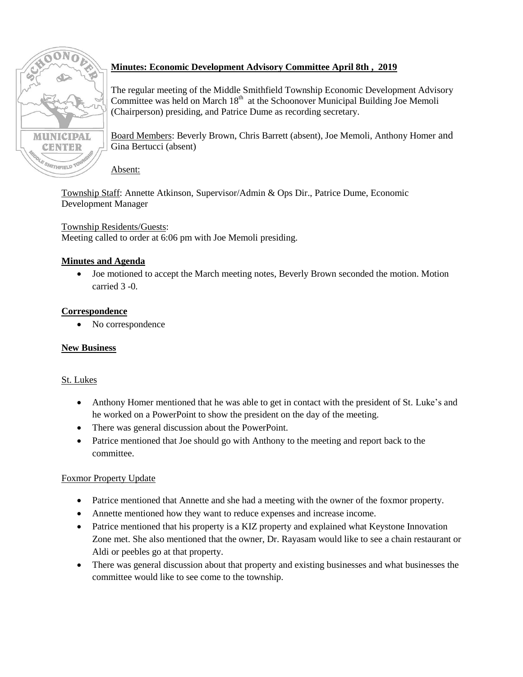

# **Minutes: Economic Development Advisory Committee April 8th , 2019**

The regular meeting of the Middle Smithfield Township Economic Development Advisory Committee was held on March  $18<sup>th</sup>$  at the Schoonover Municipal Building Joe Memoli (Chairperson) presiding, and Patrice Dume as recording secretary.

Board Members: Beverly Brown, Chris Barrett (absent), Joe Memoli, Anthony Homer and Gina Bertucci (absent)

### Absent:

Township Staff: Annette Atkinson, Supervisor/Admin & Ops Dir., Patrice Dume, Economic Development Manager

# Township Residents/Guests:

Meeting called to order at 6:06 pm with Joe Memoli presiding.

# **Minutes and Agenda**

 Joe motioned to accept the March meeting notes, Beverly Brown seconded the motion. Motion carried 3 -0.

### **Correspondence**

• No correspondence

### **New Business**

### St. Lukes

- Anthony Homer mentioned that he was able to get in contact with the president of St. Luke's and he worked on a PowerPoint to show the president on the day of the meeting.
- There was general discussion about the PowerPoint.
- Patrice mentioned that Joe should go with Anthony to the meeting and report back to the committee.

### Foxmor Property Update

- Patrice mentioned that Annette and she had a meeting with the owner of the foxmor property.
- Annette mentioned how they want to reduce expenses and increase income.
- Patrice mentioned that his property is a KIZ property and explained what Keystone Innovation Zone met. She also mentioned that the owner, Dr. Rayasam would like to see a chain restaurant or Aldi or peebles go at that property.
- There was general discussion about that property and existing businesses and what businesses the committee would like to see come to the township.